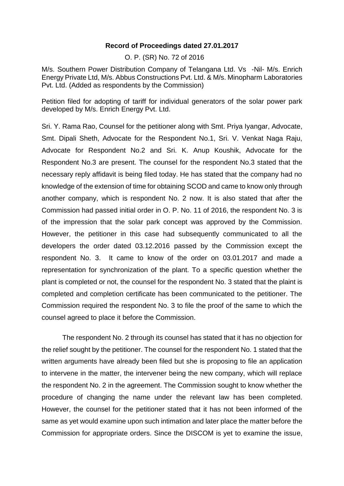## **Record of Proceedings dated 27.01.2017**

O. P. (SR) No. 72 of 2016

M/s. Southern Power Distribution Company of Telangana Ltd. Vs -Nil- M/s. Enrich Energy Private Ltd, M/s. Abbus Constructions Pvt. Ltd. & M/s. Minopharm Laboratories Pvt. Ltd. (Added as respondents by the Commission)

Petition filed for adopting of tariff for individual generators of the solar power park developed by M/s. Enrich Energy Pvt. Ltd.

Sri. Y. Rama Rao, Counsel for the petitioner along with Smt. Priya Iyangar, Advocate, Smt. Dipali Sheth, Advocate for the Respondent No.1, Sri. V. Venkat Naga Raju, Advocate for Respondent No.2 and Sri. K. Anup Koushik, Advocate for the Respondent No.3 are present. The counsel for the respondent No.3 stated that the necessary reply affidavit is being filed today. He has stated that the company had no knowledge of the extension of time for obtaining SCOD and came to know only through another company, which is respondent No. 2 now. It is also stated that after the Commission had passed initial order in O. P. No. 11 of 2016, the respondent No. 3 is of the impression that the solar park concept was approved by the Commission. However, the petitioner in this case had subsequently communicated to all the developers the order dated 03.12.2016 passed by the Commission except the respondent No. 3. It came to know of the order on 03.01.2017 and made a representation for synchronization of the plant. To a specific question whether the plant is completed or not, the counsel for the respondent No. 3 stated that the plaint is completed and completion certificate has been communicated to the petitioner. The Commission required the respondent No. 3 to file the proof of the same to which the counsel agreed to place it before the Commission.

The respondent No. 2 through its counsel has stated that it has no objection for the relief sought by the petitioner. The counsel for the respondent No. 1 stated that the written arguments have already been filed but she is proposing to file an application to intervene in the matter, the intervener being the new company, which will replace the respondent No. 2 in the agreement. The Commission sought to know whether the procedure of changing the name under the relevant law has been completed. However, the counsel for the petitioner stated that it has not been informed of the same as yet would examine upon such intimation and later place the matter before the Commission for appropriate orders. Since the DISCOM is yet to examine the issue,